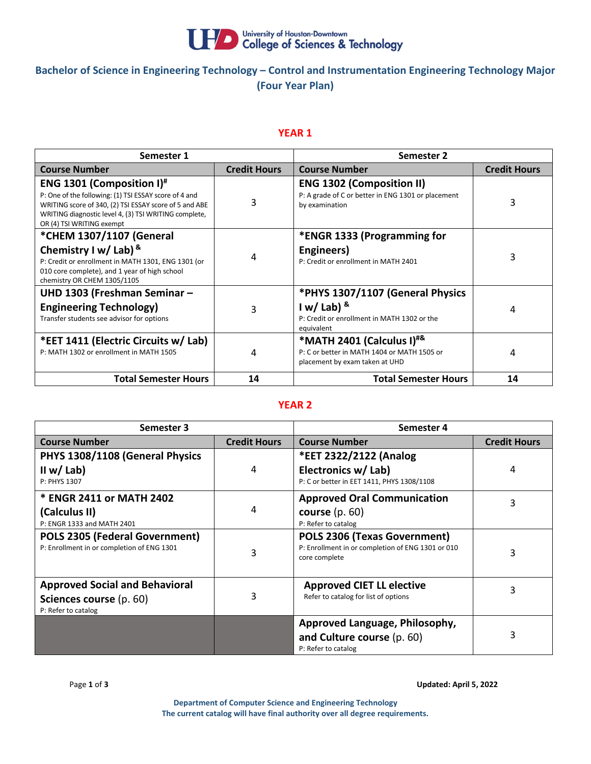

# **Bachelor of Science in Engineering Technology – Control and Instrumentation Engineering Technology Major (Four Year Plan)**

### **YEAR 1**

| Semester 1                                                                                                                                                                                                                                 |                     | Semester 2                                                                                                                 |                     |
|--------------------------------------------------------------------------------------------------------------------------------------------------------------------------------------------------------------------------------------------|---------------------|----------------------------------------------------------------------------------------------------------------------------|---------------------|
| <b>Course Number</b>                                                                                                                                                                                                                       | <b>Credit Hours</b> | <b>Course Number</b>                                                                                                       | <b>Credit Hours</b> |
| <b>ENG 1301 (Composition I)</b> #<br>P: One of the following: (1) TSI ESSAY score of 4 and<br>WRITING score of 340, (2) TSI ESSAY score of 5 and ABE<br>WRITING diagnostic level 4, (3) TSI WRITING complete,<br>OR (4) TSI WRITING exempt | 3                   | <b>ENG 1302 (Composition II)</b><br>P: A grade of C or better in ENG 1301 or placement<br>by examination                   | 3                   |
| *CHEM 1307/1107 (General<br>Chemistry I w/ Lab) $8$<br>P: Credit or enrollment in MATH 1301, ENG 1301 (or<br>010 core complete), and 1 year of high school<br>chemistry OR CHEM 1305/1105                                                  | 4                   | *ENGR 1333 (Programming for<br>Engineers)<br>P: Credit or enrollment in MATH 2401                                          | 3                   |
| UHD 1303 (Freshman Seminar -<br><b>Engineering Technology)</b><br>Transfer students see advisor for options                                                                                                                                | 3                   | *PHYS 1307/1107 (General Physics<br>$1 w /$ Lab) $8$<br>P: Credit or enrollment in MATH 1302 or the<br>equivalent          | 4                   |
| *EET 1411 (Electric Circuits w/ Lab)<br>P: MATH 1302 or enrollment in MATH 1505                                                                                                                                                            | 4                   | *MATH 2401 (Calculus I) <sup>#&amp;</sup><br>P: C or better in MATH 1404 or MATH 1505 or<br>placement by exam taken at UHD | 4                   |
| <b>Total Semester Hours</b>                                                                                                                                                                                                                | 14                  | <b>Total Semester Hours</b>                                                                                                | 14                  |

#### **YEAR 2**

| Semester 3                                 |                     | Semester 4                                                         |                     |
|--------------------------------------------|---------------------|--------------------------------------------------------------------|---------------------|
| <b>Course Number</b>                       | <b>Credit Hours</b> | <b>Course Number</b>                                               | <b>Credit Hours</b> |
| PHYS 1308/1108 (General Physics            |                     | *EET 2322/2122 (Analog                                             |                     |
| II w/ Lab)                                 | 4                   | Electronics w/ Lab)                                                | 4                   |
| P: PHYS 1307                               |                     | P: C or better in EET 1411, PHYS 1308/1108                         |                     |
| * ENGR 2411 or MATH 2402                   |                     | <b>Approved Oral Communication</b>                                 | 3                   |
| (Calculus II)                              | 4                   | course $(p. 60)$                                                   |                     |
| P: ENGR 1333 and MATH 2401                 |                     | P: Refer to catalog                                                |                     |
| <b>POLS 2305 (Federal Government)</b>      |                     | POLS 2306 (Texas Government)                                       |                     |
| P: Enrollment in or completion of ENG 1301 | 3                   | P: Enrollment in or completion of ENG 1301 or 010<br>core complete | 3                   |
|                                            |                     |                                                                    |                     |
| <b>Approved Social and Behavioral</b>      |                     | <b>Approved CIET LL elective</b>                                   | 3                   |
| Sciences course (p. 60)                    | 3                   | Refer to catalog for list of options                               |                     |
| P: Refer to catalog                        |                     |                                                                    |                     |
|                                            |                     | Approved Language, Philosophy,                                     |                     |
|                                            |                     | and Culture course (p. 60)                                         | 3                   |
|                                            |                     | P: Refer to catalog                                                |                     |

Page **1** of **3 Updated: April 5, 2022** 

**Department of Computer Science and Engineering Technology The current catalog will have final authority over all degree requirements.**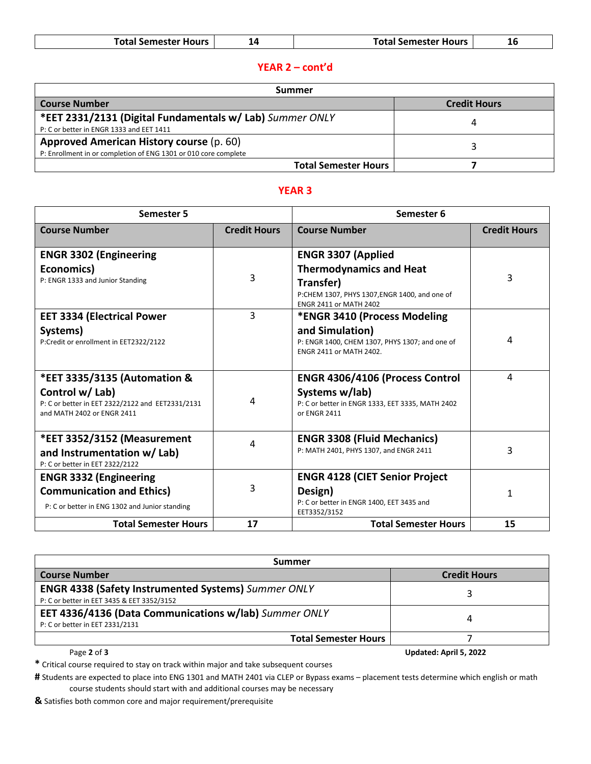| <b>Total Semester Hours</b> | <b>Total Semester Hours</b> |  |
|-----------------------------|-----------------------------|--|
|-----------------------------|-----------------------------|--|

# **YEAR 2 – cont'd**

| Summer                                                          |                     |  |
|-----------------------------------------------------------------|---------------------|--|
| <b>Course Number</b>                                            | <b>Credit Hours</b> |  |
| *EET 2331/2131 (Digital Fundamentals w/ Lab) Summer ONLY        |                     |  |
| P: C or better in ENGR 1333 and EET 1411                        |                     |  |
| Approved American History course (p. 60)                        |                     |  |
| P: Enrollment in or completion of ENG 1301 or 010 core complete |                     |  |
| <b>Total Semester Hours</b>                                     |                     |  |

#### **YEAR 3**

| <b>Semester 5</b>                                                                                 |                     | Semester 6                                                                                                                    |                     |
|---------------------------------------------------------------------------------------------------|---------------------|-------------------------------------------------------------------------------------------------------------------------------|---------------------|
| <b>Course Number</b>                                                                              | <b>Credit Hours</b> | <b>Course Number</b>                                                                                                          | <b>Credit Hours</b> |
| <b>ENGR 3302 (Engineering</b>                                                                     |                     | <b>ENGR 3307 (Applied</b>                                                                                                     |                     |
| Economics)<br>P: ENGR 1333 and Junior Standing                                                    | 3                   | <b>Thermodynamics and Heat</b><br>Transfer)<br>P:CHEM 1307, PHYS 1307, ENGR 1400, and one of<br><b>ENGR 2411 or MATH 2402</b> | 3                   |
| <b>EET 3334 (Electrical Power</b>                                                                 | 3                   | *ENGR 3410 (Process Modeling                                                                                                  |                     |
| Systems)<br>P:Credit or enrollment in EET2322/2122                                                |                     | and Simulation)<br>P: ENGR 1400, CHEM 1307, PHYS 1307; and one of<br><b>ENGR 2411 or MATH 2402.</b>                           | 4                   |
| *EET 3335/3135 (Automation &                                                                      |                     | ENGR 4306/4106 (Process Control                                                                                               | 4                   |
| Control w/ Lab)<br>P: C or better in EET 2322/2122 and EET2331/2131<br>and MATH 2402 or ENGR 2411 | 4                   | Systems w/lab)<br>P: C or better in ENGR 1333, EET 3335, MATH 2402<br>or ENGR 2411                                            |                     |
| *EET 3352/3152 (Measurement<br>and Instrumentation w/ Lab)                                        | 4                   | <b>ENGR 3308 (Fluid Mechanics)</b><br>P: MATH 2401, PHYS 1307, and ENGR 2411                                                  | 3                   |
| P: C or better in EET 2322/2122                                                                   |                     |                                                                                                                               |                     |
| <b>ENGR 3332 (Engineering</b>                                                                     |                     | <b>ENGR 4128 (CIET Senior Project</b>                                                                                         |                     |
| <b>Communication and Ethics)</b><br>P: C or better in ENG 1302 and Junior standing                | 3                   | Design)<br>P: C or better in ENGR 1400, EET 3435 and<br>EET3352/3152                                                          | 1                   |
| <b>Total Semester Hours</b>                                                                       | 17                  | <b>Total Semester Hours</b>                                                                                                   | 15                  |

| Summer                                                     |                        |  |  |
|------------------------------------------------------------|------------------------|--|--|
| <b>Course Number</b>                                       | <b>Credit Hours</b>    |  |  |
| <b>ENGR 4338 (Safety Instrumented Systems)</b> Summer ONLY |                        |  |  |
| P: C or better in EET 3435 & EET 3352/3152                 |                        |  |  |
| EET 4336/4136 (Data Communications w/lab) Summer ONLY      |                        |  |  |
| P: C or better in EET 2331/2131                            | 4                      |  |  |
| <b>Total Semester Hours</b>                                |                        |  |  |
| Page 2 of 3                                                | Updated: April 5, 2022 |  |  |

**\*** Critical course required to stay on track within major and take subsequent courses

**#** Students are expected to place into ENG 1301 and MATH 2401 via CLEP or Bypass exams – placement tests determine which english or math course students should start with and additional courses may be necessary

**&** Satisfies both common core and major requirement/prerequisite

 $\mathbf{I}$